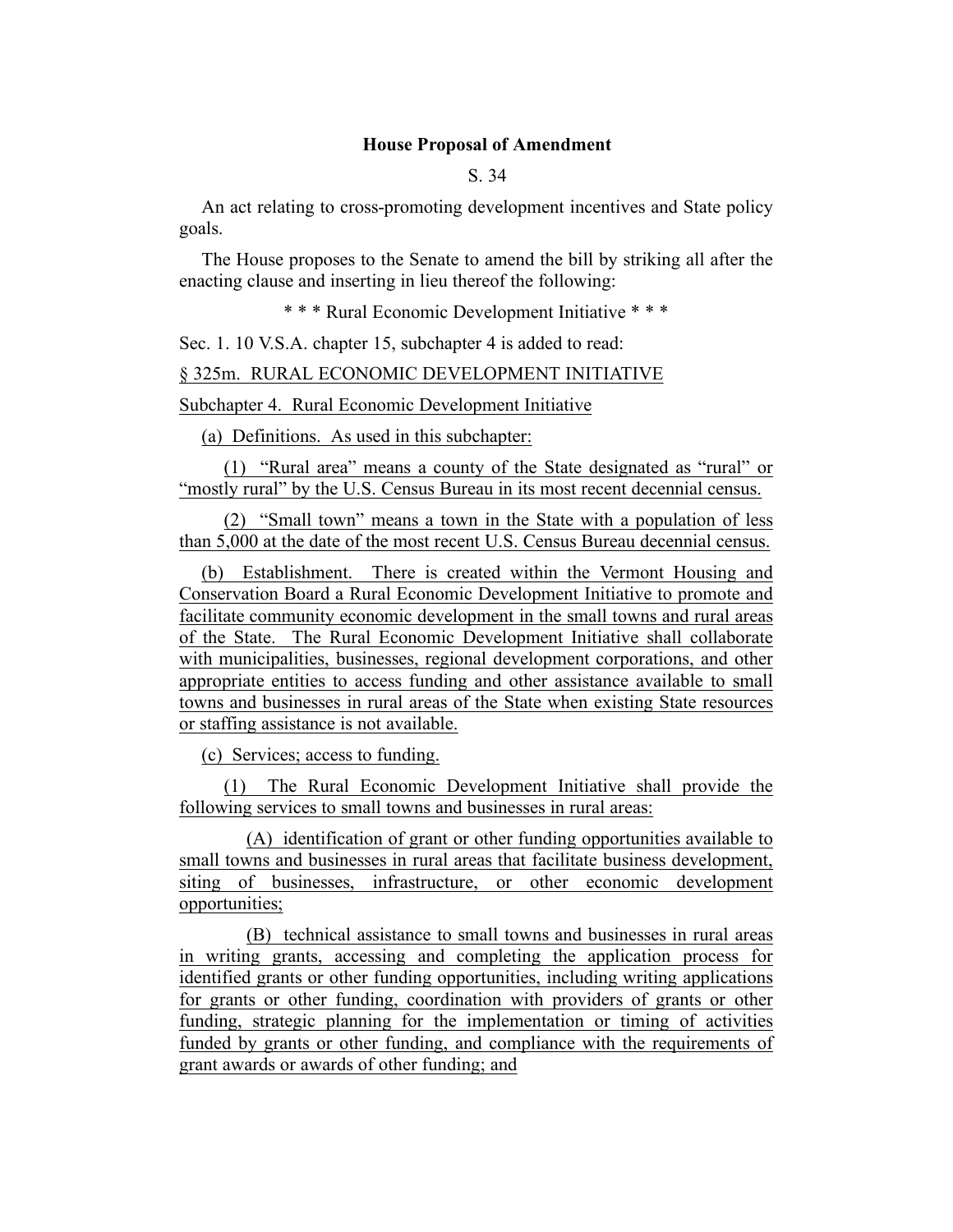## **House Proposal of Amendment**

S. 34

An act relating to cross-promoting development incentives and State policy goals.

The House proposes to the Senate to amend the bill by striking all after the enacting clause and inserting in lieu thereof the following:

\* \* \* Rural Economic Development Initiative \* \* \*

Sec. 1. 10 V.S.A. chapter 15, subchapter 4 is added to read:

§ 325m. RURAL ECONOMIC DEVELOPMENT INITIATIVE

## Subchapter 4. Rural Economic Development Initiative

(a) Definitions. As used in this subchapter:

(1) "Rural area" means a county of the State designated as "rural" or "mostly rural" by the U.S. Census Bureau in its most recent decennial census.

(2) "Small town" means a town in the State with a population of less than 5,000 at the date of the most recent U.S. Census Bureau decennial census.

(b) Establishment. There is created within the Vermont Housing and Conservation Board a Rural Economic Development Initiative to promote and facilitate community economic development in the small towns and rural areas of the State. The Rural Economic Development Initiative shall collaborate with municipalities, businesses, regional development corporations, and other appropriate entities to access funding and other assistance available to small towns and businesses in rural areas of the State when existing State resources or staffing assistance is not available.

(c) Services; access to funding.

(1) The Rural Economic Development Initiative shall provide the following services to small towns and businesses in rural areas:

(A) identification of grant or other funding opportunities available to small towns and businesses in rural areas that facilitate business development, siting of businesses, infrastructure, or other economic development opportunities;

(B) technical assistance to small towns and businesses in rural areas in writing grants, accessing and completing the application process for identified grants or other funding opportunities, including writing applications for grants or other funding, coordination with providers of grants or other funding, strategic planning for the implementation or timing of activities funded by grants or other funding, and compliance with the requirements of grant awards or awards of other funding; and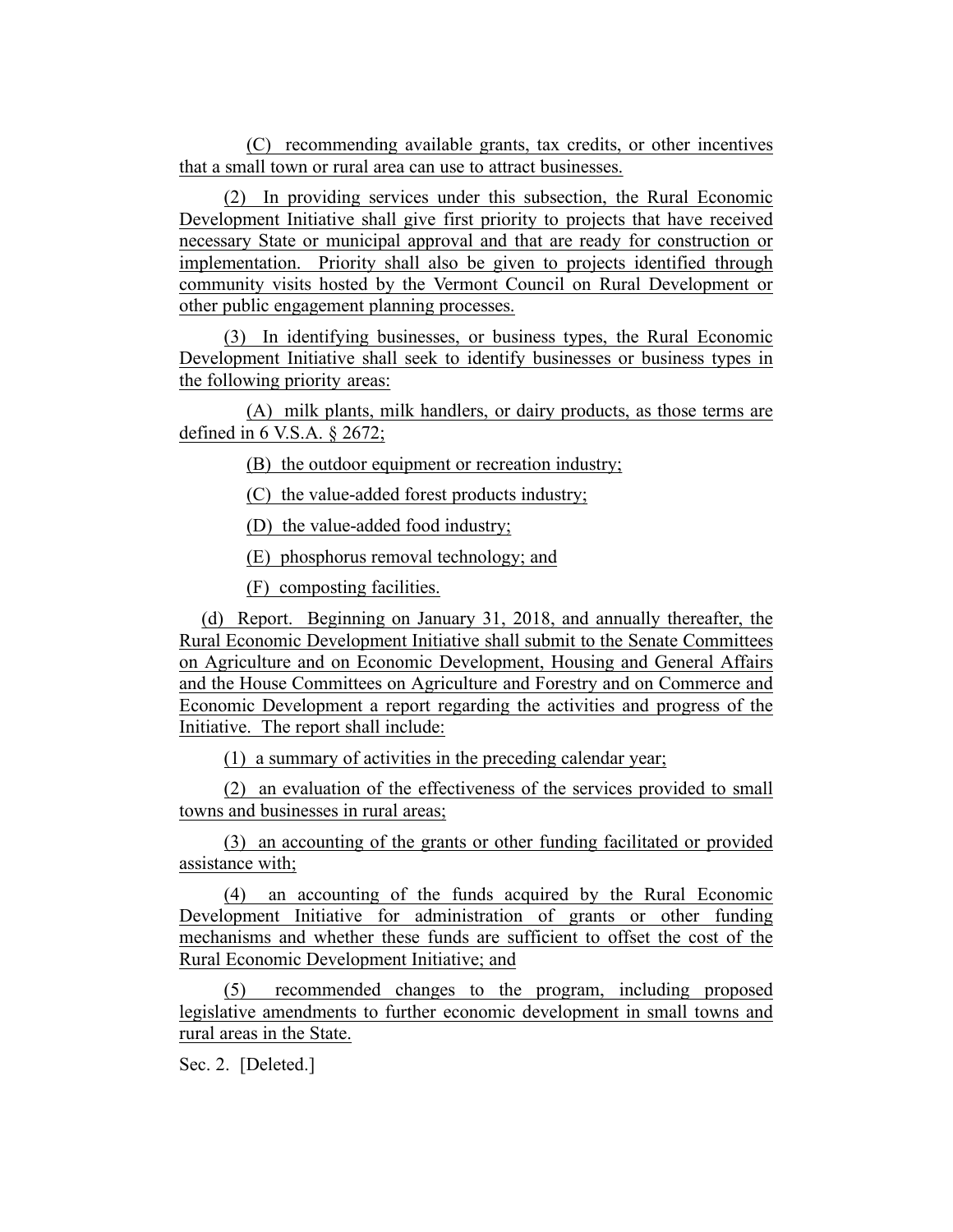(C) recommending available grants, tax credits, or other incentives that a small town or rural area can use to attract businesses.

(2) In providing services under this subsection, the Rural Economic Development Initiative shall give first priority to projects that have received necessary State or municipal approval and that are ready for construction or implementation. Priority shall also be given to projects identified through community visits hosted by the Vermont Council on Rural Development or other public engagement planning processes.

(3) In identifying businesses, or business types, the Rural Economic Development Initiative shall seek to identify businesses or business types in the following priority areas:

(A) milk plants, milk handlers, or dairy products, as those terms are defined in 6 V.S.A. § 2672;

(B) the outdoor equipment or recreation industry;

(C) the value-added forest products industry;

(D) the value-added food industry;

(E) phosphorus removal technology; and

(F) composting facilities.

(d) Report. Beginning on January 31, 2018, and annually thereafter, the Rural Economic Development Initiative shall submit to the Senate Committees on Agriculture and on Economic Development, Housing and General Affairs and the House Committees on Agriculture and Forestry and on Commerce and Economic Development a report regarding the activities and progress of the Initiative. The report shall include:

(1) a summary of activities in the preceding calendar year;

(2) an evaluation of the effectiveness of the services provided to small towns and businesses in rural areas;

(3) an accounting of the grants or other funding facilitated or provided assistance with;

(4) an accounting of the funds acquired by the Rural Economic Development Initiative for administration of grants or other funding mechanisms and whether these funds are sufficient to offset the cost of the Rural Economic Development Initiative; and

(5) recommended changes to the program, including proposed legislative amendments to further economic development in small towns and rural areas in the State.

Sec. 2. [Deleted.]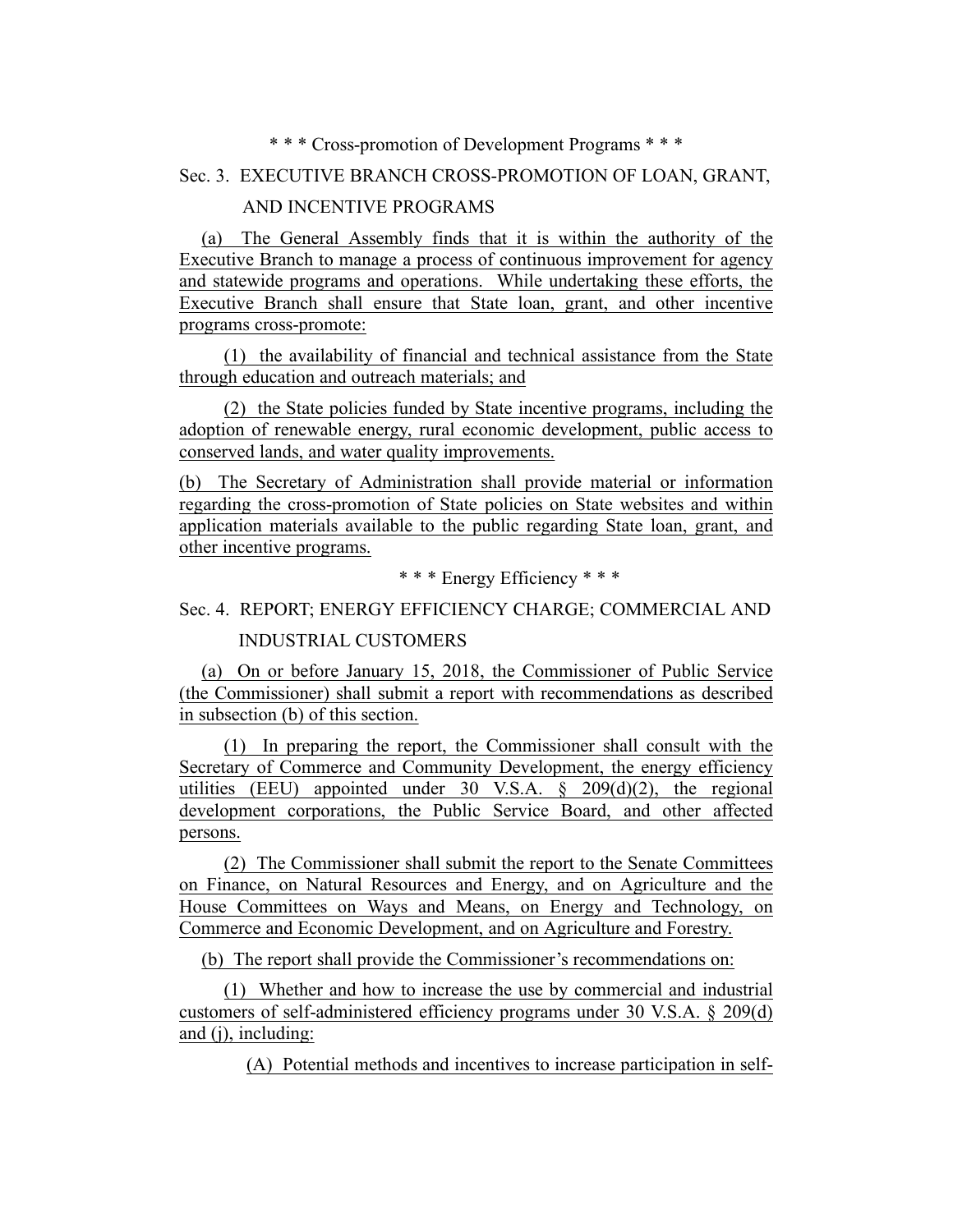## \* \* \* Cross-promotion of Development Programs \* \* \*

# Sec. 3. EXECUTIVE BRANCH CROSS-PROMOTION OF LOAN, GRANT,

## AND INCENTIVE PROGRAMS

(a) The General Assembly finds that it is within the authority of the Executive Branch to manage a process of continuous improvement for agency and statewide programs and operations. While undertaking these efforts, the Executive Branch shall ensure that State loan, grant, and other incentive programs cross-promote:

(1) the availability of financial and technical assistance from the State through education and outreach materials; and

(2) the State policies funded by State incentive programs, including the adoption of renewable energy, rural economic development, public access to conserved lands, and water quality improvements.

(b) The Secretary of Administration shall provide material or information regarding the cross-promotion of State policies on State websites and within application materials available to the public regarding State loan, grant, and other incentive programs.

\* \* \* Energy Efficiency \* \* \*

# Sec. 4. REPORT; ENERGY EFFICIENCY CHARGE; COMMERCIAL AND

# INDUSTRIAL CUSTOMERS

(a) On or before January 15, 2018, the Commissioner of Public Service (the Commissioner) shall submit a report with recommendations as described in subsection (b) of this section.

(1) In preparing the report, the Commissioner shall consult with the Secretary of Commerce and Community Development, the energy efficiency utilities (EEU) appointed under  $30$  V.S.A.  $\frac{1}{2}$  209(d)(2), the regional development corporations, the Public Service Board, and other affected persons.

(2) The Commissioner shall submit the report to the Senate Committees on Finance, on Natural Resources and Energy, and on Agriculture and the House Committees on Ways and Means, on Energy and Technology, on Commerce and Economic Development, and on Agriculture and Forestry.

(b) The report shall provide the Commissioner's recommendations on:

(1) Whether and how to increase the use by commercial and industrial customers of self-administered efficiency programs under 30 V.S.A. § 209(d) and (j), including:

(A) Potential methods and incentives to increase participation in self-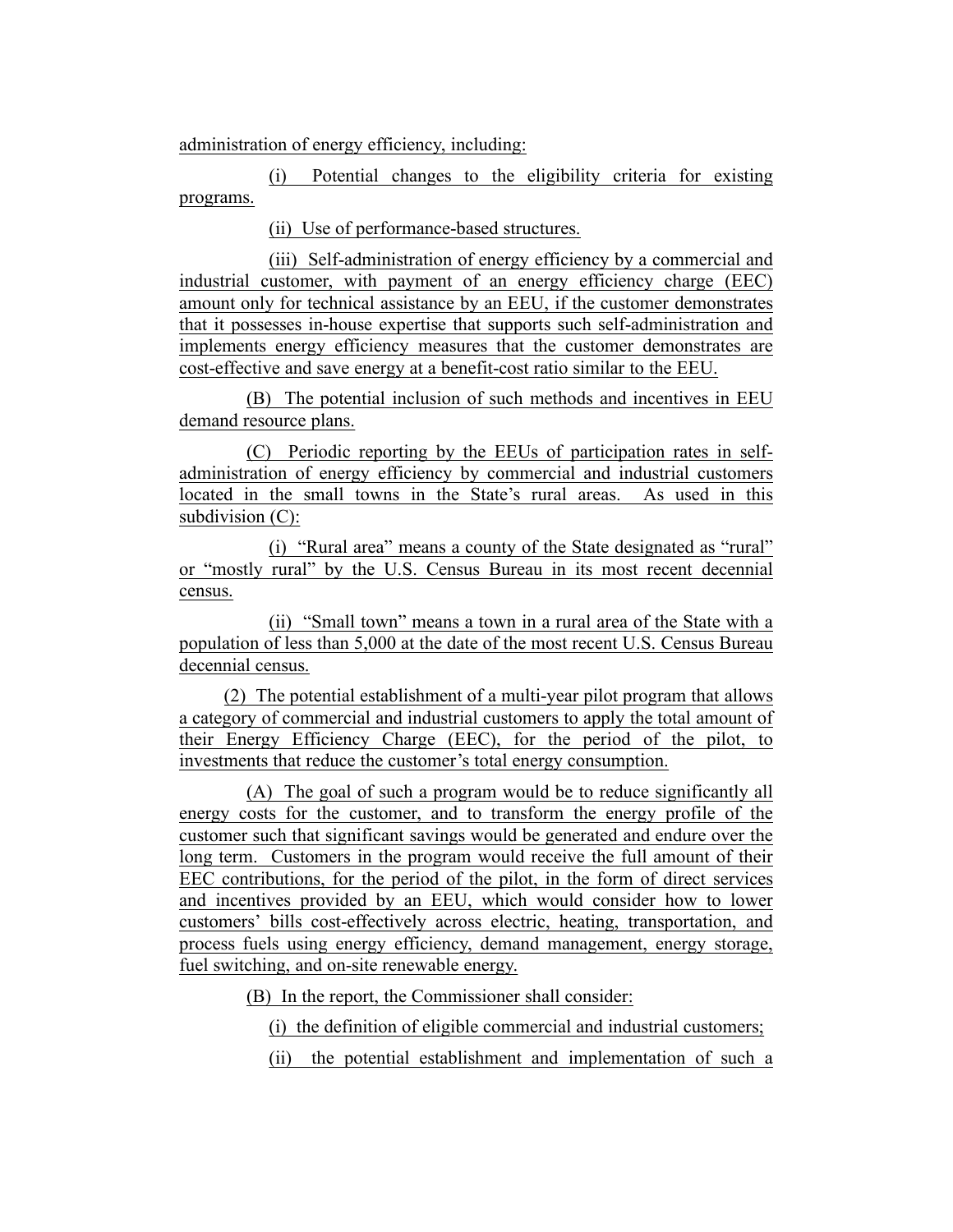administration of energy efficiency, including:

(i) Potential changes to the eligibility criteria for existing programs.

(ii) Use of performance-based structures.

(iii) Self-administration of energy efficiency by a commercial and industrial customer, with payment of an energy efficiency charge (EEC) amount only for technical assistance by an EEU, if the customer demonstrates that it possesses in-house expertise that supports such self-administration and implements energy efficiency measures that the customer demonstrates are cost-effective and save energy at a benefit-cost ratio similar to the EEU.

(B) The potential inclusion of such methods and incentives in EEU demand resource plans.

(C) Periodic reporting by the EEUs of participation rates in selfadministration of energy efficiency by commercial and industrial customers located in the small towns in the State's rural areas. As used in this subdivision (C):

(i) "Rural area" means a county of the State designated as "rural" or "mostly rural" by the U.S. Census Bureau in its most recent decennial census.

(ii) "Small town" means a town in a rural area of the State with a population of less than 5,000 at the date of the most recent U.S. Census Bureau decennial census.

(2) The potential establishment of a multi-year pilot program that allows a category of commercial and industrial customers to apply the total amount of their Energy Efficiency Charge (EEC), for the period of the pilot, to investments that reduce the customer's total energy consumption.

(A) The goal of such a program would be to reduce significantly all energy costs for the customer, and to transform the energy profile of the customer such that significant savings would be generated and endure over the long term. Customers in the program would receive the full amount of their EEC contributions, for the period of the pilot, in the form of direct services and incentives provided by an EEU, which would consider how to lower customers' bills cost-effectively across electric, heating, transportation, and process fuels using energy efficiency, demand management, energy storage, fuel switching, and on-site renewable energy.

(B) In the report, the Commissioner shall consider:

(i) the definition of eligible commercial and industrial customers;

(ii) the potential establishment and implementation of such a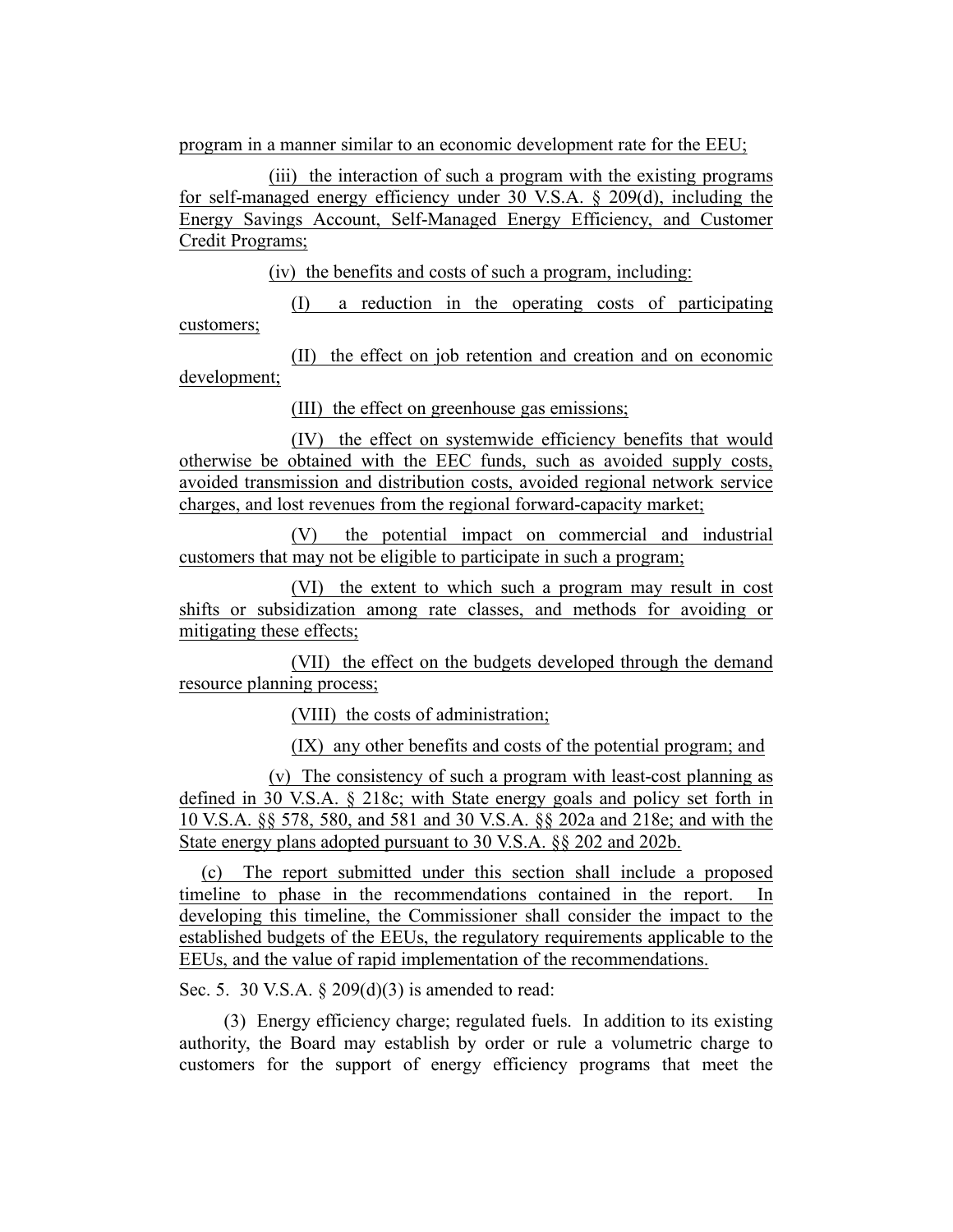program in a manner similar to an economic development rate for the EEU;

(iii) the interaction of such a program with the existing programs for self-managed energy efficiency under 30 V.S.A. § 209(d), including the Energy Savings Account, Self-Managed Energy Efficiency, and Customer Credit Programs;

(iv) the benefits and costs of such a program, including:

(I) a reduction in the operating costs of participating customers;

(II) the effect on job retention and creation and on economic development;

(III) the effect on greenhouse gas emissions;

(IV) the effect on systemwide efficiency benefits that would otherwise be obtained with the EEC funds, such as avoided supply costs, avoided transmission and distribution costs, avoided regional network service charges, and lost revenues from the regional forward-capacity market;

(V) the potential impact on commercial and industrial customers that may not be eligible to participate in such a program;

(VI) the extent to which such a program may result in cost shifts or subsidization among rate classes, and methods for avoiding or mitigating these effects;

(VII) the effect on the budgets developed through the demand resource planning process;

(VIII) the costs of administration;

(IX) any other benefits and costs of the potential program; and

(v) The consistency of such a program with least-cost planning as defined in 30 V.S.A. § 218c; with State energy goals and policy set forth in 10 V.S.A. §§ 578, 580, and 581 and 30 V.S.A. §§ 202a and 218e; and with the State energy plans adopted pursuant to 30 V.S.A. §§ 202 and 202b.

(c) The report submitted under this section shall include a proposed timeline to phase in the recommendations contained in the report. In developing this timeline, the Commissioner shall consider the impact to the established budgets of the EEUs, the regulatory requirements applicable to the EEUs, and the value of rapid implementation of the recommendations.

Sec. 5. 30 V.S.A. § 209(d)(3) is amended to read:

(3) Energy efficiency charge; regulated fuels. In addition to its existing authority, the Board may establish by order or rule a volumetric charge to customers for the support of energy efficiency programs that meet the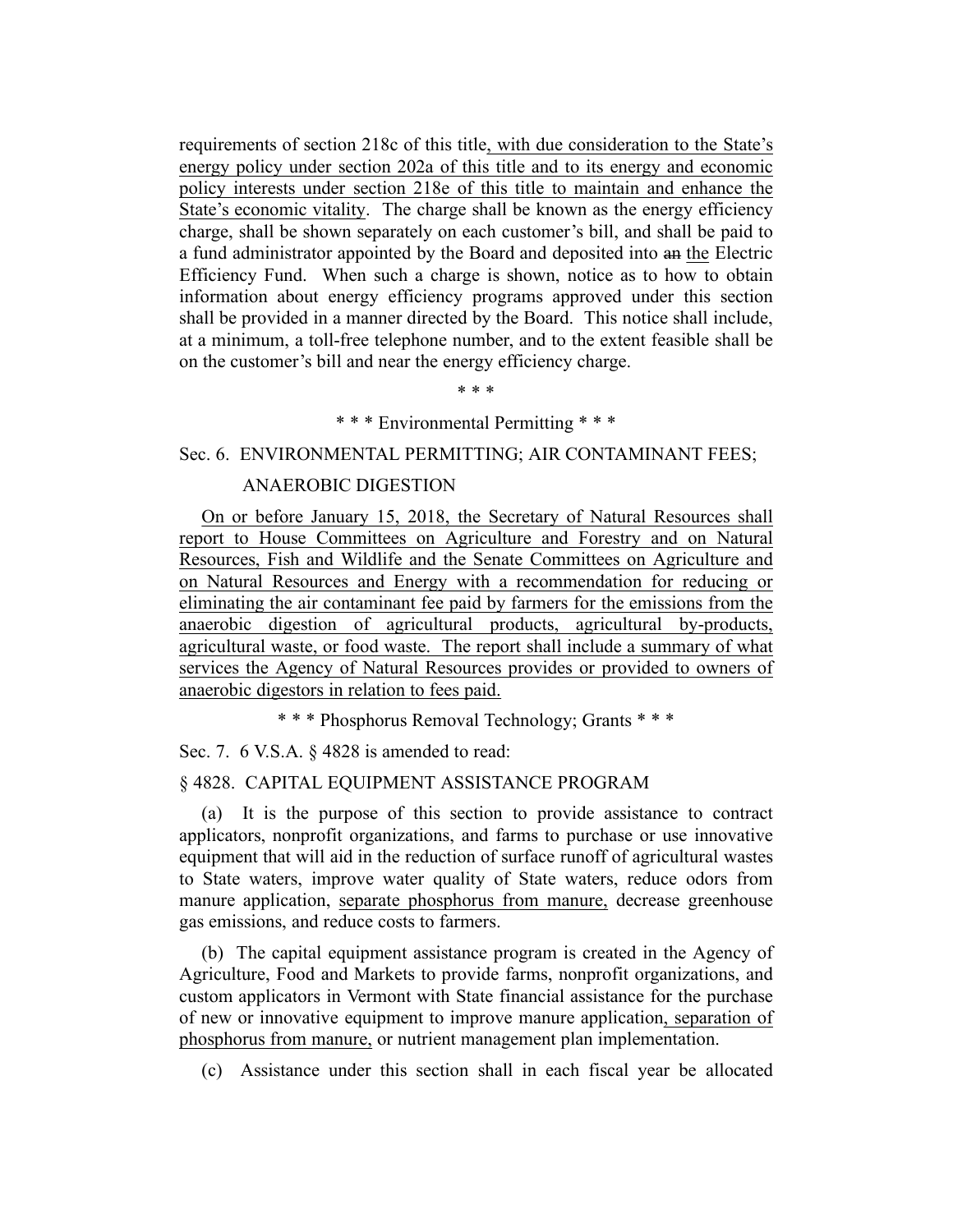requirements of section 218c of this title, with due consideration to the State's energy policy under section 202a of this title and to its energy and economic policy interests under section 218e of this title to maintain and enhance the State's economic vitality. The charge shall be known as the energy efficiency charge, shall be shown separately on each customer's bill, and shall be paid to a fund administrator appointed by the Board and deposited into an the Electric Efficiency Fund. When such a charge is shown, notice as to how to obtain information about energy efficiency programs approved under this section shall be provided in a manner directed by the Board. This notice shall include, at a minimum, a toll-free telephone number, and to the extent feasible shall be on the customer's bill and near the energy efficiency charge.

\* \* \*

#### \* \* \* Environmental Permitting \* \* \*

# Sec. 6. ENVIRONMENTAL PERMITTING; AIR CONTAMINANT FEES;

### ANAEROBIC DIGESTION

On or before January 15, 2018, the Secretary of Natural Resources shall report to House Committees on Agriculture and Forestry and on Natural Resources, Fish and Wildlife and the Senate Committees on Agriculture and on Natural Resources and Energy with a recommendation for reducing or eliminating the air contaminant fee paid by farmers for the emissions from the anaerobic digestion of agricultural products, agricultural by-products, agricultural waste, or food waste. The report shall include a summary of what services the Agency of Natural Resources provides or provided to owners of anaerobic digestors in relation to fees paid.

\* \* \* Phosphorus Removal Technology; Grants \* \* \*

Sec. 7. 6 V.S.A. § 4828 is amended to read:

## § 4828. CAPITAL EQUIPMENT ASSISTANCE PROGRAM

(a) It is the purpose of this section to provide assistance to contract applicators, nonprofit organizations, and farms to purchase or use innovative equipment that will aid in the reduction of surface runoff of agricultural wastes to State waters, improve water quality of State waters, reduce odors from manure application, separate phosphorus from manure, decrease greenhouse gas emissions, and reduce costs to farmers.

(b) The capital equipment assistance program is created in the Agency of Agriculture, Food and Markets to provide farms, nonprofit organizations, and custom applicators in Vermont with State financial assistance for the purchase of new or innovative equipment to improve manure application, separation of phosphorus from manure, or nutrient management plan implementation.

(c) Assistance under this section shall in each fiscal year be allocated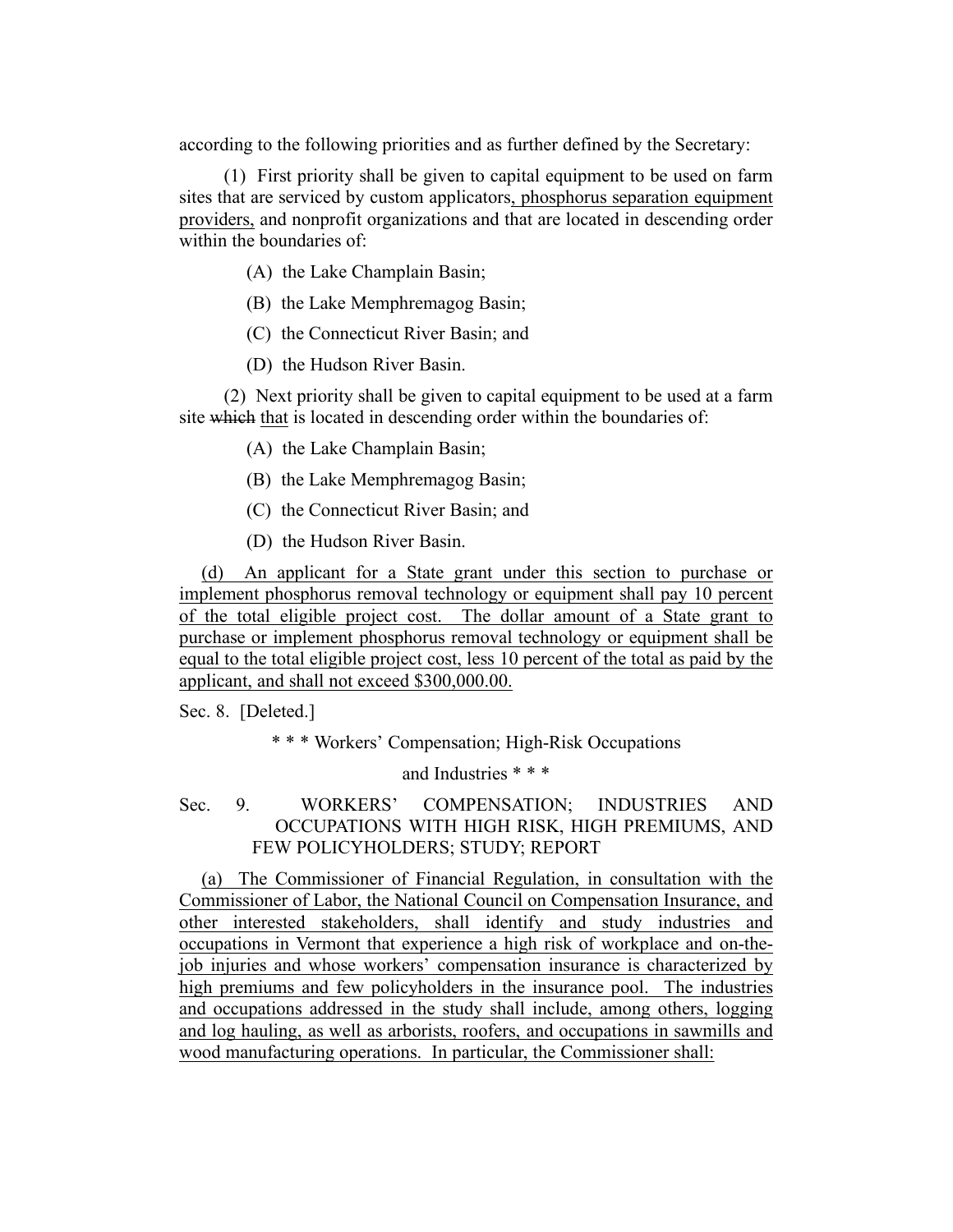according to the following priorities and as further defined by the Secretary:

(1) First priority shall be given to capital equipment to be used on farm sites that are serviced by custom applicators, phosphorus separation equipment providers, and nonprofit organizations and that are located in descending order within the boundaries of:

(A) the Lake Champlain Basin;

- (B) the Lake Memphremagog Basin;
- (C) the Connecticut River Basin; and
- (D) the Hudson River Basin.

(2) Next priority shall be given to capital equipment to be used at a farm site which that is located in descending order within the boundaries of:

- (A) the Lake Champlain Basin;
- (B) the Lake Memphremagog Basin;
- (C) the Connecticut River Basin; and
- (D) the Hudson River Basin.

(d) An applicant for a State grant under this section to purchase or implement phosphorus removal technology or equipment shall pay 10 percent of the total eligible project cost. The dollar amount of a State grant to purchase or implement phosphorus removal technology or equipment shall be equal to the total eligible project cost, less 10 percent of the total as paid by the applicant, and shall not exceed \$300,000.00.

Sec. 8. [Deleted.]

\* \* \* Workers' Compensation; High-Risk Occupations

and Industries \* \* \*

# Sec. 9. WORKERS' COMPENSATION; INDUSTRIES AND OCCUPATIONS WITH HIGH RISK, HIGH PREMIUMS, AND FEW POLICYHOLDERS; STUDY; REPORT

(a) The Commissioner of Financial Regulation, in consultation with the Commissioner of Labor, the National Council on Compensation Insurance, and other interested stakeholders, shall identify and study industries and occupations in Vermont that experience a high risk of workplace and on-thejob injuries and whose workers' compensation insurance is characterized by high premiums and few policyholders in the insurance pool. The industries and occupations addressed in the study shall include, among others, logging and log hauling, as well as arborists, roofers, and occupations in sawmills and wood manufacturing operations. In particular, the Commissioner shall: